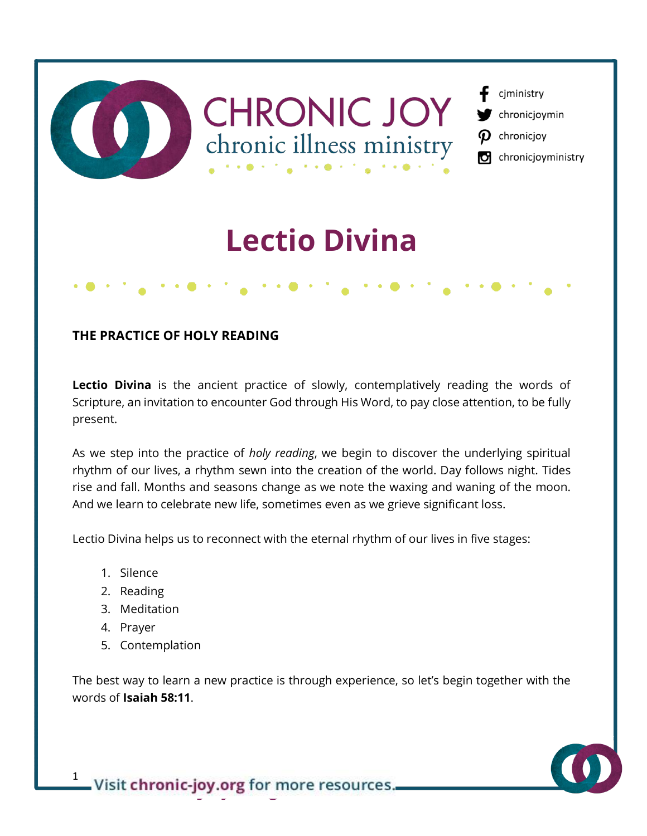

### **THE PRACTICE OF HOLY READING**

Lectio Divina is the ancient practice of slowly, contemplatively reading the words of Scripture, an invitation to encounter God through His Word, to pay close attention, to be fully present.

As we step into the practice of *holy reading*, we begin to discover the underlying spiritual rhythm of our lives, a rhythm sewn into the creation of the world. Day follows night. Tides rise and fall. Months and seasons change as we note the waxing and waning of the moon. And we learn to celebrate new life, sometimes even as we grieve significant loss.

Lectio Divina helps us to reconnect with the eternal rhythm of our lives in five stages:

- 1. Silence
- 2. Reading
- 3. Meditation
- 4. Prayer
- 5. Contemplation

The best way to learn a new practice is through experience, so let's begin together with the words of **Isaiah 58:11**.

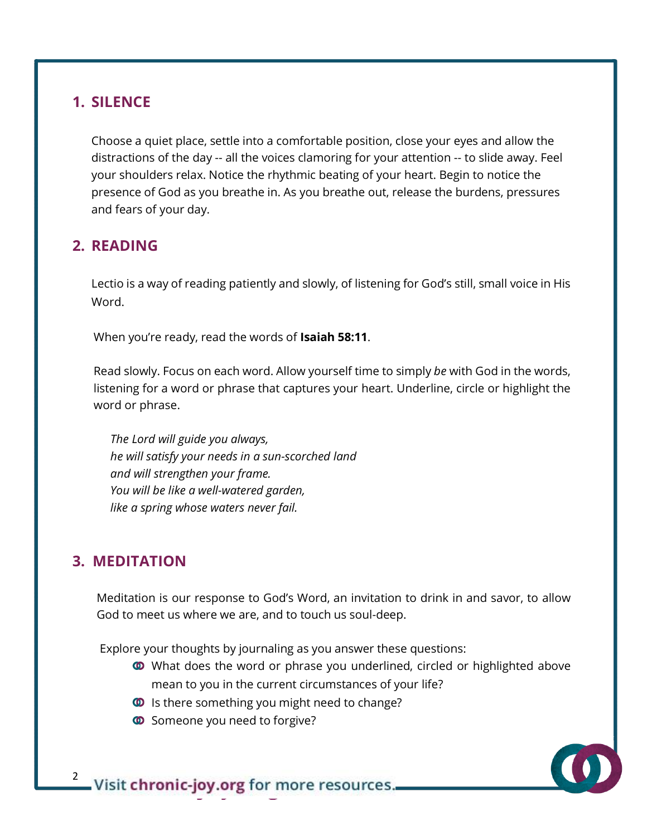### **1. SILENCE**

Choose a quiet place, settle into a comfortable position, close your eyes and allow the distractions of the day -- all the voices clamoring for your attention -- to slide away. Feel your shoulders relax. Notice the rhythmic beating of your heart. Begin to notice the presence of God as you breathe in. As you breathe out, release the burdens, pressures and fears of your day.

# **2. READING**

Lectio is a way of reading patiently and slowly, of listening for God's still, small voice in His Word.

When you're ready, read the words of **Isaiah 58:11**.

 Read slowly. Focus on each word. Allow yourself time to simply *be* with God in the words, listening for a word or phrase that captures your heart. Underline, circle or highlight the word or phrase.

*The Lord will guide you always, he will satisfy your needs in a sun-scorched land and will strengthen your frame. You will be like a well-watered garden, like a spring whose waters never fail.*

# **3. MEDITATION**

 Meditation is our response to God's Word, an invitation to drink in and savor, to allow God to meet us where we are, and to touch us soul-deep.

Explore your thoughts by journaling as you answer these questions:

- **ID** What does the word or phrase you underlined, circled or highlighted above mean to you in the current circumstances of your life?
- **ID** Is there something you might need to change?
- **<sup>6</sup>** Someone you need to forgive?

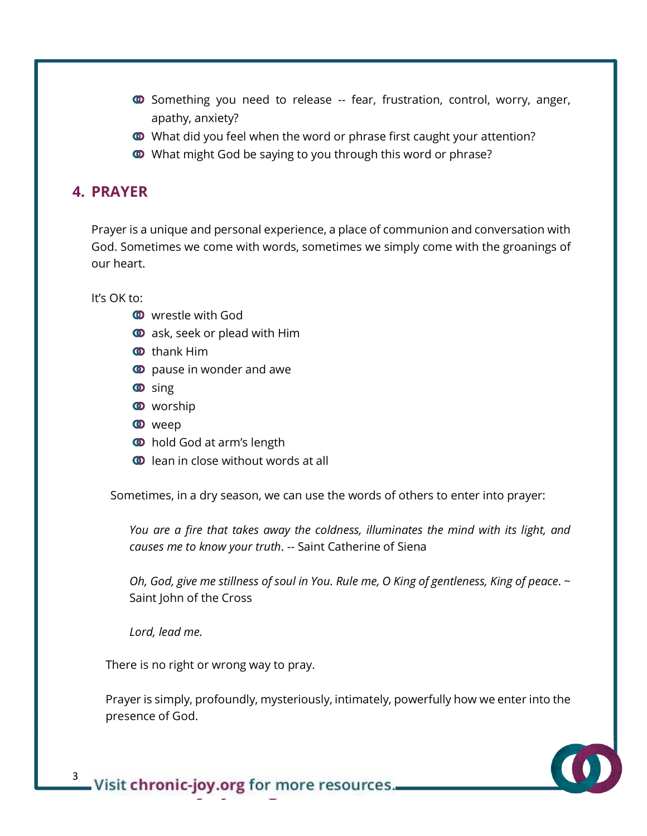- Something you need to release -- fear, frustration, control, worry, anger, apathy, anxiety?
- **What did you feel when the word or phrase first caught your attention?**
- What might God be saying to you through this word or phrase?

# **4. PRAYER**

Prayer is a unique and personal experience, a place of communion and conversation with God. Sometimes we come with words, sometimes we simply come with the groanings of our heart.

It's OK to:

- **W** wrestle with God
- $\bullet$  ask, seek or plead with Him
- **<sup>O</sup>** thank Him
- **<sup>o</sup>** pause in wonder and awe
- **<sup>o</sup>** sing
- **W** worship
- **O** weep
- **<sup>6</sup>** hold God at arm's length
- $\bullet$  lean in close without words at all

Sometimes, in a dry season, we can use the words of others to enter into prayer:

*You are a fire that takes away the coldness, illuminates the mind with its light, and causes me to know your truth*. -- Saint Catherine of Siena

*Oh, God, give me stillness of soul in You. Rule me, O King of gentleness, King of peace*. ~ Saint John of the Cross

*Lord, lead me.*

There is no right or wrong way to pray.

Prayer is simply, profoundly, mysteriously, intimately, powerfully how we enter into the presence of God.



<sup>3</sup> Visit chronic-joy.org for more resources.